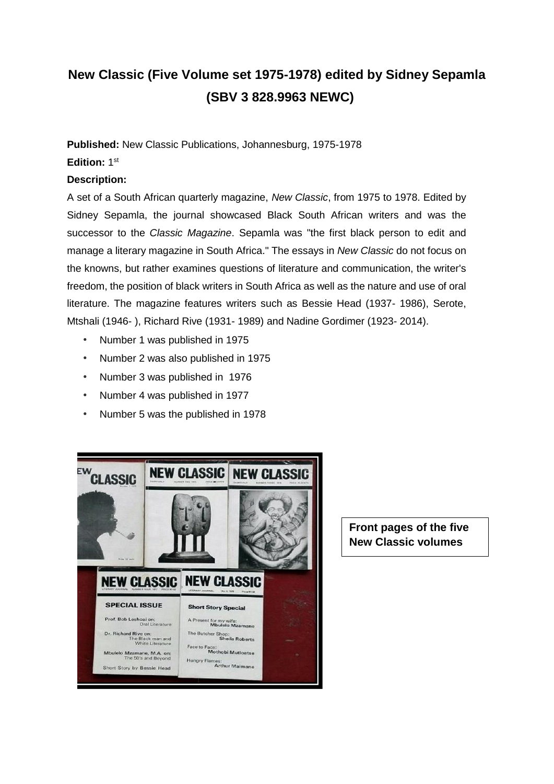# **New Classic (Five Volume set 1975-1978) edited by Sidney Sepamla (SBV 3 828.9963 NEWC)**

**Published:** New Classic Publications, Johannesburg, 1975-1978

#### **Edition:** 1 st

#### **Description:**

A set of a South African quarterly magazine, *New Classic*, from 1975 to 1978. Edited by Sidney Sepamla, the journal showcased Black South African writers and was the successor to the *Classic Magazine*. Sepamla was "the first black person to edit and manage a literary magazine in South Africa." The essays in *New Classic* do not focus on the knowns, but rather examines questions of literature and communication, the writer's freedom, the position of black writers in South Africa as well as the nature and use of oral literature. The magazine features writers such as Bessie Head (1937- 1986), Serote, Mtshali (1946- ), Richard Rive (1931- 1989) and Nadine Gordimer (1923- 2014).

- Number 1 was published in 1975
- Number 2 was also published in 1975
- Number 3 was published in 1976
- Number 4 was published in 1977
- Number 5 was the published in 1978



**Front pages of the five New Classic volumes**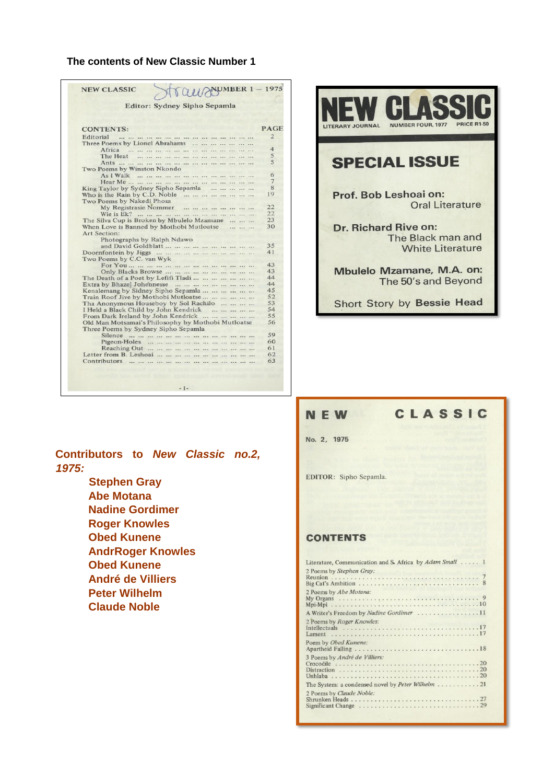#### **The contents of New Classic Number 1**

| Editor: Sydney Sipho Sepamla                                            |  |             |
|-------------------------------------------------------------------------|--|-------------|
|                                                                         |  |             |
| <b>CONTENTS:</b>                                                        |  | <b>PAGE</b> |
| Editorial<br>and the the theoretical theoretical and the theoretical to |  |             |
| Three Poems by Lionel Abrahams                                          |  |             |
| Africa<br>                                                              |  |             |
| The Heat<br>                                                            |  |             |
|                                                                         |  |             |
| Two Poems by Winston Nkondo                                             |  |             |
| As I Walk                                                               |  |             |
|                                                                         |  |             |
| King Taylor by Sydney Sipho Sepamla                                     |  |             |
| Who is the Rain by C.D. Noble                                           |  |             |
| Two Poems by Nakedi Phosa<br>My Registrasie Nommer                      |  |             |
|                                                                         |  |             |
| Wie is Ek?<br>The Silva Cup is Broken by Mbulelo Mzamane                |  |             |
| When Love is Banned by Mothobi Mutloatse                                |  |             |
| Art Section:                                                            |  |             |
| Photographs by Ralph Ndawo                                              |  |             |
|                                                                         |  |             |
|                                                                         |  |             |
| Two Poems by C.C. van Wyk                                               |  |             |
|                                                                         |  |             |
|                                                                         |  |             |
| The Death of a Poet by Lefifi Tladi                                     |  |             |
|                                                                         |  |             |
| Kenalemang by Sidney Sipho Sepamla                                      |  |             |
| Train Roof Jive by Mothobi Mutloatse                                    |  |             |
| Tha Anonymous Houseboy by Sol Rachilo                                   |  |             |
| I Held a Black Child by John Kendrick                                   |  |             |
| From Dark Ireland by John Kendrick                                      |  |             |
| Old Man Motsamai's Philosophy by Mothobi Mutloatse                      |  |             |
| Three Poems by Sydney Sipho Sepamla                                     |  |             |
|                                                                         |  |             |
|                                                                         |  |             |
|                                                                         |  |             |
|                                                                         |  |             |
|                                                                         |  |             |
|                                                                         |  |             |

**AL** LITERARY JOURNAL NUMBER FOUR, 1977 **SPECIAL ISSUE** Prof. Bob Leshoai on: **Oral Literature** Dr. Richard Rive on: The Black man and **White Literature** Mbulelo Mzamane, M.A. on: The 50's and Beyond **Short Story by Bessie Head** 

## **Contributors to** *New Classic no.2, 1975:*

**Stephen Gray Abe Motana Nadine Gordimer Roger Knowles Obed Kunene AndrRoger Knowles Obed Kunene André de Villiers Peter Wilhelm Claude Noble**

#### **NEW**

# CLASSIC

No. 2, 1975

EDITOR: Sipho Sepamla.

#### **CONTENTS**

| Literature, Communication and S. Africa by Adam Small 1 |  |  |
|---------------------------------------------------------|--|--|
| 2 Poems by Stephen Gray:                                |  |  |
| 2 Poems by Abe Motana:                                  |  |  |
| A Writer's Freedom by Nadine Gordimer 11                |  |  |
| 2 Poems by Roger Knowles:                               |  |  |
| Poem by Obed Kunene:                                    |  |  |
| 3 Poems by André de Villiers:                           |  |  |
|                                                         |  |  |
| 2 Poems by Claude Noble:                                |  |  |